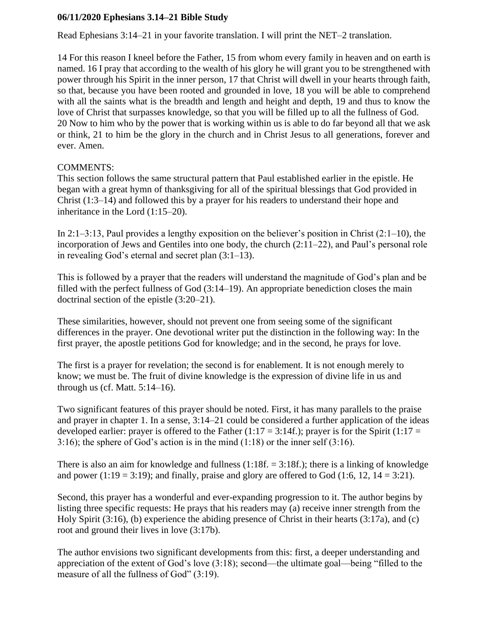## **06/11/2020 Ephesians 3.14–21 Bible Study**

Read Ephesians 3:14–21 in your favorite translation. I will print the NET–2 translation.

14 For this reason I kneel before the Father, 15 from whom every family in heaven and on earth is named. 16 I pray that according to the wealth of his glory he will grant you to be strengthened with power through his Spirit in the inner person, 17 that Christ will dwell in your hearts through faith, so that, because you have been rooted and grounded in love, 18 you will be able to comprehend with all the saints what is the breadth and length and height and depth, 19 and thus to know the love of Christ that surpasses knowledge, so that you will be filled up to all the fullness of God. 20 Now to him who by the power that is working within us is able to do far beyond all that we ask or think, 21 to him be the glory in the church and in Christ Jesus to all generations, forever and ever. Amen.

## COMMENTS:

This section follows the same structural pattern that Paul established earlier in the epistle. He began with a great hymn of thanksgiving for all of the spiritual blessings that God provided in Christ (1:3–14) and followed this by a prayer for his readers to understand their hope and inheritance in the Lord (1:15–20).

In  $2:1-3:13$ , Paul provides a lengthy exposition on the believer's position in Christ  $(2:1-10)$ , the incorporation of Jews and Gentiles into one body, the church (2:11–22), and Paul's personal role in revealing God's eternal and secret plan (3:1–13).

This is followed by a prayer that the readers will understand the magnitude of God's plan and be filled with the perfect fullness of God (3:14–19). An appropriate benediction closes the main doctrinal section of the epistle (3:20–21).

These similarities, however, should not prevent one from seeing some of the significant differences in the prayer. One devotional writer put the distinction in the following way: In the first prayer, the apostle petitions God for knowledge; and in the second, he prays for love.

The first is a prayer for revelation; the second is for enablement. It is not enough merely to know; we must be. The fruit of divine knowledge is the expression of divine life in us and through us (cf. Matt.  $5:14-16$ ).

Two significant features of this prayer should be noted. First, it has many parallels to the praise and prayer in chapter 1. In a sense, 3:14–21 could be considered a further application of the ideas developed earlier: prayer is offered to the Father (1:17 = 3:14f.); prayer is for the Spirit (1:17 = 3:16); the sphere of God's action is in the mind (1:18) or the inner self (3:16).

There is also an aim for knowledge and fullness  $(1:18f. = 3:18f.)$ ; there is a linking of knowledge and power (1:19 = 3:19); and finally, praise and glory are offered to God (1:6, 12, 14 = 3:21).

Second, this prayer has a wonderful and ever-expanding progression to it. The author begins by listing three specific requests: He prays that his readers may (a) receive inner strength from the Holy Spirit (3:16), (b) experience the abiding presence of Christ in their hearts (3:17a), and (c) root and ground their lives in love (3:17b).

The author envisions two significant developments from this: first, a deeper understanding and appreciation of the extent of God's love (3:18); second—the ultimate goal—being "filled to the measure of all the fullness of God" (3:19).